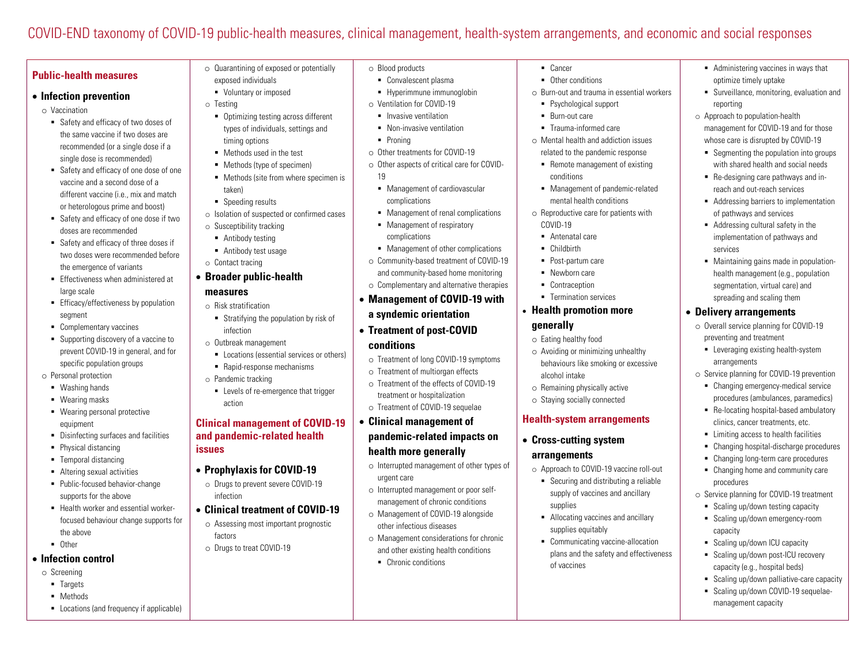# COVID-END taxonomy of COVID-19 public-health measures, clinical management, health-system arrangements, and economic and social responses

## **Public-health measures**

#### • **Infection prevention**

- o Vaccination
	- Safety and efficacy of two doses of the same vaccine if two doses are recommended (or a single dose if a single dose is recommended)
	- § Safety and efficacy of one dose of one vaccine and a second dose of a different vaccine (i.e., mix and match or heterologous prime and boost)
	- Safety and efficacy of one dose if two doses are recommended
	- Safety and efficacy of three doses if two doses were recommended before the emergence of variants
	- Effectiveness when administered at large scale
	- Efficacy/effectiveness by population segment
	- § Complementary vaccines
	- Supporting discovery of a vaccine to prevent COVID-19 in general, and for specific population groups
- o Personal protection
	- § Washing hands
	- Wearing masks
	- § Wearing personal protective equipment
	- Disinfecting surfaces and facilities
	- Physical distancing
	- Temporal distancing
	- § Altering sexual activities
	- § Public-focused behavior-change supports for the above
	- Health worker and essential workerfocused behaviour change supports for the above
	- § Other

#### • **Infection control**

o Screening

- § Targets
- § Methods
- Locations (and frequency if applicable)
- o Quarantining of exposed or potentially
- exposed individuals § Voluntary or imposed
- o Testing
	- Optimizing testing across different types of individuals, settings and timing options
- Methods used in the test
- Methods (type of specimen)
- Methods (site from where specimen is taken)
- Speeding results
- o Isolation of suspected or confirmed cases
- o Susceptibility tracking
- Antibody testing
- § Antibody test usage
- o Contact tracing
- **Broader public-health measures**
	- o Risk stratification
	- § Stratifying the population by risk of infection
	- o Outbreak management
	- Locations (essential services or others)
	- Rapid-response mechanisms
	- o Pandemic tracking
	- Levels of re-emergence that trigger action

#### **Clinical management of COVID-19 and pandemic-related health issues**

- **Prophylaxis for COVID-19**
	- o Drugs to prevent severe COVID-19 infection

## • **Clinical treatment of COVID-19**

- o Assessing most important prognostic factors
- o Drugs to treat COVID-19
- o Blood products
	- § Convalescent plasma § Hyperimmune immunoglobin
	- o Ventilation for COVID-19
		- **•** Invasive ventilation
		- Non-invasive ventilation
		- § Proning
	- o Other treatments for COVID-19
	- o Other aspects of critical care for COVID-19
		- § Management of cardiovascular complications
	- Management of renal complications
	- Management of respiratory complications
	- Management of other complications
	- o Community-based treatment of COVID-19 and community-based home monitoring
- o Complementary and alternative therapies • **Management of COVID-19 with a syndemic orientation**
- **Treatment of post-COVID conditions**
	- o Treatment of long COVID-19 symptoms
- o Treatment of multiorgan effects
- o Treatment of the effects of COVID-19 treatment or hospitalization
- o Treatment of COVID-19 sequelae

## • **Clinical management of pandemic-related impacts on health more generally**

- o Interrupted management of other types of urgent care
- o Interrupted management or poor selfmanagement of chronic conditions
- o Management of COVID-19 alongside other infectious diseases
- o Management considerations for chronic and other existing health conditions
- Chronic conditions
- § Cancer
- Other conditions
- o Burn-out and trauma in essential workers

■ Administering vaccines in ways that optimize timely uptake

reporting

services

o Approach to population-health

■ Surveillance, monitoring, evaluation and

management for COVID-19 and for those whose care is disrupted by COVID-19 ■ Segmenting the population into groups with shared health and social needs ■ Re-designing care pathways and inreach and out-reach services ■ Addressing barriers to implementation of pathways and services ■ Addressing cultural safety in the implementation of pathways and

■ Maintaining gains made in populationhealth management (e.g., population segmentation, virtual care) and spreading and scaling them • **Delivery arrangements**

o Overall service planning for COVID-19 preventing and treatment

■ Leveraging existing health-system

o Service planning for COVID-19 prevention ■ Changing emergency-medical service procedures (ambulances, paramedics) ■ Re-locating hospital-based ambulatory clinics, cancer treatments, etc. ■ Limiting access to health facilities ■ Changing hospital-discharge procedures ■ Changing long-term care procedures ■ Changing home and community care

o Service planning for COVID-19 treatment ■ Scaling up/down testing capacity ■ Scaling up/down emergency-room

■ Scaling up/down ICU capacity ■ Scaling up/down post-ICU recovery capacity (e.g., hospital beds) ■ Scaling up/down palliative-care capacity ■ Scaling up/down COVID-19 sequelae-

management capacity

arrangements

procedures

capacity

- Psychological support
- § Burn-out care
- Trauma-informed care
- o Mental health and addiction issues related to the pandemic response
	- Remote management of existing conditions
	- § Management of pandemic-related mental health conditions
- o Reproductive care for patients with COVID-19
	- Antenatal care
	- § Childbirth
	- Post-partum care
	- § Newborn care
	- § Contraception
	- Termination services

## • **Health promotion more generally**

- o Eating healthy food
- o Avoiding or minimizing unhealthy behaviours like smoking or excessive alcohol intake
- o Remaining physically active o Staying socially connected

**Health-system arrangements**

o Approach to COVID-19 vaccine roll-out ■ Securing and distributing a reliable supply of vaccines and ancillary

§ Allocating vaccines and ancillary

■ Communicating vaccine-allocation plans and the safety and effectiveness

• **Cross-cutting system arrangements**

supplies

of vaccines

supplies equitably